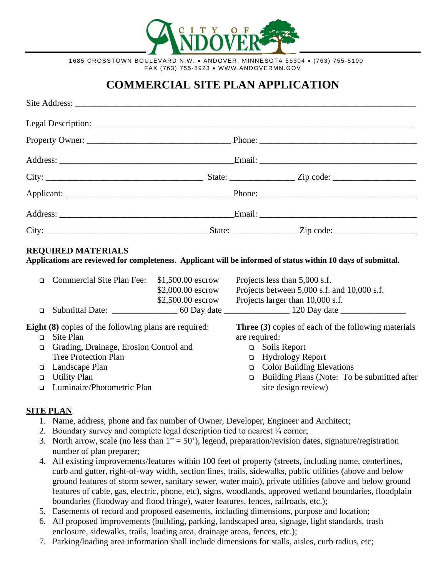

1685 CROSSTOWN BOULEVARD N.W. · ANDOVER, MINNESOTA 55304 · (763) 755-5100 FAX (763) 755-8923 · WWW.ANDOVERMN.GOV

# **COMMERCIAL SITE PLAN APPLICATION**

#### **REQUIRED MATERIALS**

**Applications are reviewed for completeness. Applicant will be informed of status within 10 days of submittal.**

| $\Box$ Commercial Site Plan Fee: | $$1,500.00$ escrow | Projects less than 5,000 s.f.               |
|----------------------------------|--------------------|---------------------------------------------|
|                                  | $$2,000.00$ escrow | Projects between 5,000 s.f. and 10,000 s.f. |
|                                  | $$2,500.00$ escrow | Projects larger than 10,000 s.f.            |
| $\Box$ Submittal Date:           | 60 Day date        | 120 Day date                                |
|                                  |                    |                                             |

**Eight (8)** copies of the following plans are required:

- □ Site Plan
- Grading, Drainage, Erosion Control and Tree Protection Plan
- □ Landscape Plan
- □ Utility Plan
- Luminaire/Photometric Plan

**Three (3)** copies of each of the following materials are required:

- □ Soils Report
- Hydrology Report
- □ Color Building Elevations
- □ Building Plans (Note: To be submitted after site design review)

## **SITE PLAN**

- 1. Name, address, phone and fax number of Owner, Developer, Engineer and Architect;
- 2. Boundary survey and complete legal description tied to nearest ¼ corner;
- 3. North arrow, scale (no less than  $1" = 50'$ ), legend, preparation/revision dates, signature/registration number of plan preparer;
- 4. All existing improvements/features within 100 feet of property (streets, including name, centerlines, curb and gutter, right-of-way width, section lines, trails, sidewalks, public utilities (above and below ground features of storm sewer, sanitary sewer, water main), private utilities (above and below ground features of cable, gas, electric, phone, etc), signs, woodlands, approved wetland boundaries, floodplain boundaries (floodway and flood fringe), water features, fences, railroads, etc.);
- 5. Easements of record and proposed easements, including dimensions, purpose and location;
- 6. All proposed improvements (building, parking, landscaped area, signage, light standards, trash enclosure, sidewalks, trails, loading area, drainage areas, fences, etc.);
- 7. Parking/loading area information shall include dimensions for stalls, aisles, curb radius, etc;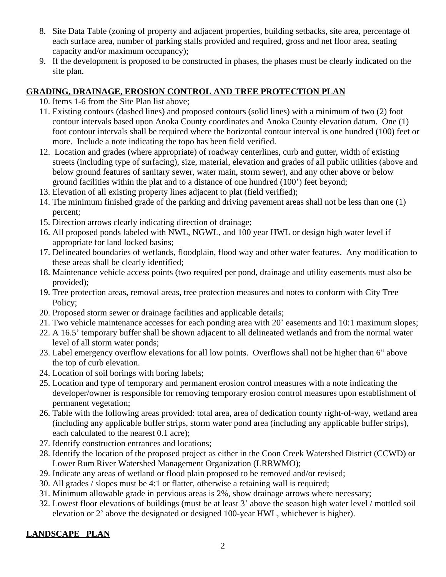- 8. Site Data Table (zoning of property and adjacent properties, building setbacks, site area, percentage of each surface area, number of parking stalls provided and required, gross and net floor area, seating capacity and/or maximum occupancy);
- 9. If the development is proposed to be constructed in phases, the phases must be clearly indicated on the site plan.

## **GRADING, DRAINAGE, EROSION CONTROL AND TREE PROTECTION PLAN**

10. Items 1-6 from the Site Plan list above;

- 11. Existing contours (dashed lines) and proposed contours (solid lines) with a minimum of two (2) foot contour intervals based upon Anoka County coordinates and Anoka County elevation datum. One (1) foot contour intervals shall be required where the horizontal contour interval is one hundred (100) feet or more. Include a note indicating the topo has been field verified.
- 12. Location and grades (where appropriate) of roadway centerlines, curb and gutter, width of existing streets (including type of surfacing), size, material, elevation and grades of all public utilities (above and below ground features of sanitary sewer, water main, storm sewer), and any other above or below ground facilities within the plat and to a distance of one hundred (100') feet beyond;
- 13. Elevation of all existing property lines adjacent to plat (field verified);
- 14. The minimum finished grade of the parking and driving pavement areas shall not be less than one (1) percent;
- 15. Direction arrows clearly indicating direction of drainage;
- 16. All proposed ponds labeled with NWL, NGWL, and 100 year HWL or design high water level if appropriate for land locked basins;
- 17. Delineated boundaries of wetlands, floodplain, flood way and other water features. Any modification to these areas shall be clearly identified;
- 18. Maintenance vehicle access points (two required per pond, drainage and utility easements must also be provided);
- 19. Tree protection areas, removal areas, tree protection measures and notes to conform with City Tree Policy;
- 20. Proposed storm sewer or drainage facilities and applicable details;
- 21. Two vehicle maintenance accesses for each ponding area with 20' easements and 10:1 maximum slopes;
- 22. A 16.5' temporary buffer shall be shown adjacent to all delineated wetlands and from the normal water level of all storm water ponds;
- 23. Label emergency overflow elevations for all low points. Overflows shall not be higher than 6" above the top of curb elevation.
- 24. Location of soil borings with boring labels;
- 25. Location and type of temporary and permanent erosion control measures with a note indicating the developer/owner is responsible for removing temporary erosion control measures upon establishment of permanent vegetation;
- 26. Table with the following areas provided: total area, area of dedication county right-of-way, wetland area (including any applicable buffer strips, storm water pond area (including any applicable buffer strips), each calculated to the nearest 0.1 acre);
- 27. Identify construction entrances and locations;
- 28. Identify the location of the proposed project as either in the Coon Creek Watershed District (CCWD) or Lower Rum River Watershed Management Organization (LRRWMO);
- 29. Indicate any areas of wetland or flood plain proposed to be removed and/or revised;
- 30. All grades / slopes must be 4:1 or flatter, otherwise a retaining wall is required;
- 31. Minimum allowable grade in pervious areas is 2%, show drainage arrows where necessary;
- 32. Lowest floor elevations of buildings (must be at least 3' above the season high water level / mottled soil elevation or 2' above the designated or designed 100-year HWL, whichever is higher).

# **LANDSCAPE PLAN**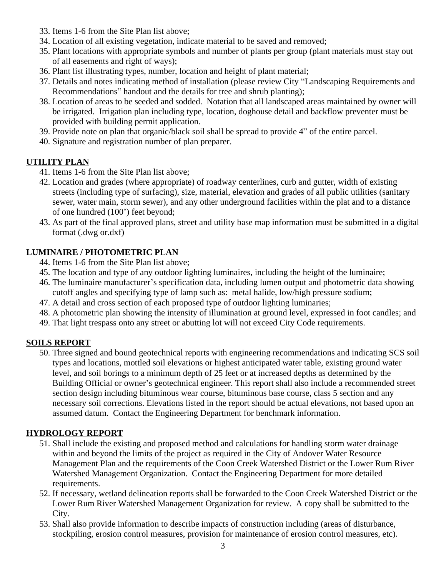- 33. Items 1-6 from the Site Plan list above;
- 34. Location of all existing vegetation, indicate material to be saved and removed;
- 35. Plant locations with appropriate symbols and number of plants per group (plant materials must stay out of all easements and right of ways);
- 36. Plant list illustrating types, number, location and height of plant material;
- 37. Details and notes indicating method of installation (please review City "Landscaping Requirements and Recommendations" handout and the details for tree and shrub planting);
- 38. Location of areas to be seeded and sodded. Notation that all landscaped areas maintained by owner will be irrigated. Irrigation plan including type, location, doghouse detail and backflow preventer must be provided with building permit application.
- 39. Provide note on plan that organic/black soil shall be spread to provide 4" of the entire parcel.
- 40. Signature and registration number of plan preparer.

# **UTILITY PLAN**

- 41. Items 1-6 from the Site Plan list above;
- 42. Location and grades (where appropriate) of roadway centerlines, curb and gutter, width of existing streets (including type of surfacing), size, material, elevation and grades of all public utilities (sanitary sewer, water main, storm sewer), and any other underground facilities within the plat and to a distance of one hundred (100') feet beyond;
- 43. As part of the final approved plans, street and utility base map information must be submitted in a digital format (.dwg or.dxf)

## **LUMINAIRE / PHOTOMETRIC PLAN**

- 44. Items 1-6 from the Site Plan list above;
- 45. The location and type of any outdoor lighting luminaires, including the height of the luminaire;
- 46. The luminaire manufacturer's specification data, including lumen output and photometric data showing cutoff angles and specifying type of lamp such as: metal halide, low/high pressure sodium;
- 47. A detail and cross section of each proposed type of outdoor lighting luminaries;
- 48. A photometric plan showing the intensity of illumination at ground level, expressed in foot candles; and
- 49. That light trespass onto any street or abutting lot will not exceed City Code requirements.

## **SOILS REPORT**

50. Three signed and bound geotechnical reports with engineering recommendations and indicating SCS soil types and locations, mottled soil elevations or highest anticipated water table, existing ground water level, and soil borings to a minimum depth of 25 feet or at increased depths as determined by the Building Official or owner's geotechnical engineer. This report shall also include a recommended street section design including bituminous wear course, bituminous base course, class 5 section and any necessary soil corrections. Elevations listed in the report should be actual elevations, not based upon an assumed datum. Contact the Engineering Department for benchmark information.

## **HYDROLOGY REPORT**

- 51. Shall include the existing and proposed method and calculations for handling storm water drainage within and beyond the limits of the project as required in the City of Andover Water Resource Management Plan and the requirements of the Coon Creek Watershed District or the Lower Rum River Watershed Management Organization. Contact the Engineering Department for more detailed requirements.
- 52. If necessary, wetland delineation reports shall be forwarded to the Coon Creek Watershed District or the Lower Rum River Watershed Management Organization for review. A copy shall be submitted to the City.
- 53. Shall also provide information to describe impacts of construction including (areas of disturbance, stockpiling, erosion control measures, provision for maintenance of erosion control measures, etc).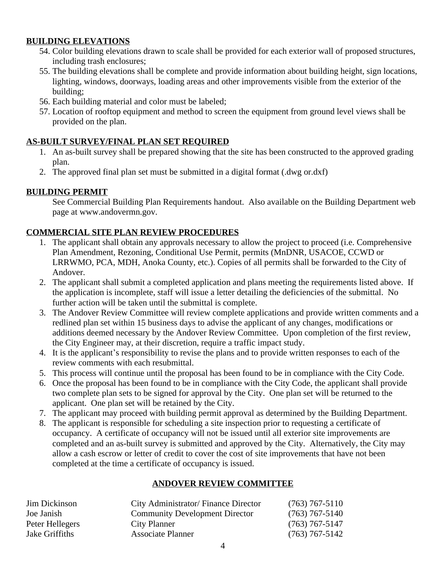#### **BUILDING ELEVATIONS**

- 54. Color building elevations drawn to scale shall be provided for each exterior wall of proposed structures, including trash enclosures;
- 55. The building elevations shall be complete and provide information about building height, sign locations, lighting, windows, doorways, loading areas and other improvements visible from the exterior of the building;
- 56. Each building material and color must be labeled;
- 57. Location of rooftop equipment and method to screen the equipment from ground level views shall be provided on the plan.

## **AS-BUILT SURVEY/FINAL PLAN SET REQUIRED**

- 1. An as-built survey shall be prepared showing that the site has been constructed to the approved grading plan.
- 2. The approved final plan set must be submitted in a digital format (.dwg or.dxf)

## **BUILDING PERMIT**

See Commercial Building Plan Requirements handout. Also available on the Building Department web page at www.andovermn.gov.

#### **COMMERCIAL SITE PLAN REVIEW PROCEDURES**

- 1. The applicant shall obtain any approvals necessary to allow the project to proceed (i.e. Comprehensive Plan Amendment, Rezoning, Conditional Use Permit, permits (MnDNR, USACOE, CCWD or LRRWMO, PCA, MDH, Anoka County, etc.). Copies of all permits shall be forwarded to the City of Andover.
- 2. The applicant shall submit a completed application and plans meeting the requirements listed above. If the application is incomplete, staff will issue a letter detailing the deficiencies of the submittal. No further action will be taken until the submittal is complete.
- 3. The Andover Review Committee will review complete applications and provide written comments and a redlined plan set within 15 business days to advise the applicant of any changes, modifications or additions deemed necessary by the Andover Review Committee. Upon completion of the first review, the City Engineer may, at their discretion, require a traffic impact study.
- 4. It is the applicant's responsibility to revise the plans and to provide written responses to each of the review comments with each resubmittal.
- 5. This process will continue until the proposal has been found to be in compliance with the City Code.
- 6. Once the proposal has been found to be in compliance with the City Code, the applicant shall provide two complete plan sets to be signed for approval by the City. One plan set will be returned to the applicant. One plan set will be retained by the City.
- 7. The applicant may proceed with building permit approval as determined by the Building Department.
- 8. The applicant is responsible for scheduling a site inspection prior to requesting a certificate of occupancy. A certificate of occupancy will not be issued until all exterior site improvements are completed and an as-built survey is submitted and approved by the City. Alternatively, the City may allow a cash escrow or letter of credit to cover the cost of site improvements that have not been completed at the time a certificate of occupancy is issued.

## **ANDOVER REVIEW COMMITTEE**

| <b>Jim Dickinson</b> | City Administrator/Finance Director   | $(763)$ 767-5110 |
|----------------------|---------------------------------------|------------------|
| Joe Janish           | <b>Community Development Director</b> | $(763)$ 767-5140 |
| Peter Hellegers      | City Planner                          | $(763)$ 767-5147 |
| Jake Griffiths       | Associate Planner                     | $(763)$ 767-5142 |